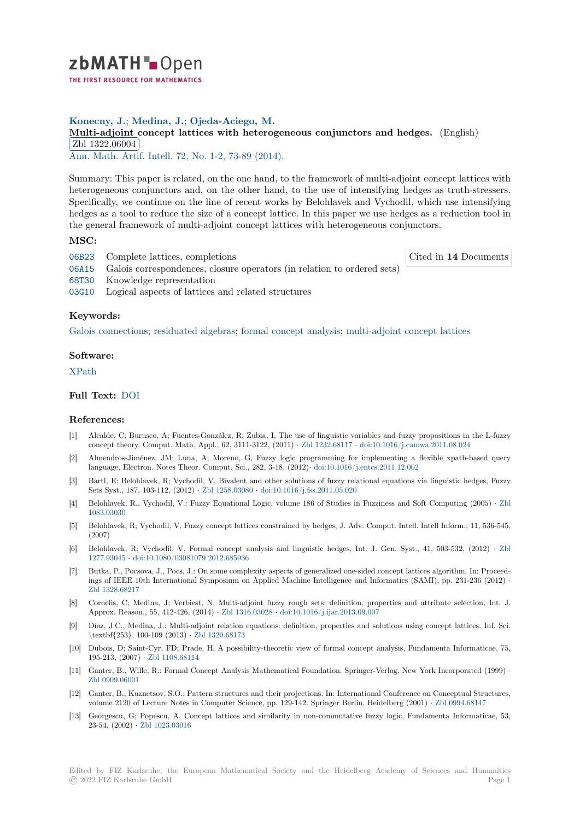

# **Konecny, J.**; **Medina, J.**; **Ojeda-Aciego, M.**

**[M](https://zbmath.org/)ulti-adjoint concept lattices with heterogeneous conjunctors and hedges.** (English) Zbl 1322.06004

✂ ✁ Ann. Math. Artif. Intell. 72, No. 1-2, 73-89 (2014).

[Summary: This paper is related, on the one hand, to the framework of multi-adjoint co](https://zbmath.org/1322.06004)ncept lattices with [heterogeneous con](https://zbmath.org/1322.06004)junctors and, on the other hand, to the use of intensifying hedges as truth-stressers. [Specifically, we continue](https://zbmath.org/journals/?q=se:2122) [on the line of recent work](https://zbmath.org/?q=in:336827)s by Belohlavek and Vychodil, which use intensifying hedges as a tool to reduce the size of a concept lattice. In this paper we use hedges as a reduction tool in the general framework of multi-adjoint concept lattices with heterogeneous conjunctors.

## **MSC:**

06B23 Complete lattices, completions

Cited in **14** Documents

- 06A15 Galois correspondences, closure operators (in relation to ordered sets)
- 68T30 Knowledge representation
- 03G10 Logical aspects of lattices and related structures

### **[Keyw](https://zbmath.org/classification/?q=cc:06A15)ords:**

[Galois](https://zbmath.org/classification/?q=cc:68T30) connections; residuated algebras; formal concept analysis; multi-adjoint concept lattices

#### **Software:**

# [XPath](https://zbmath.org/?q=ut:Galois+connections)

# **Full Text:** DOI

## **[Refere](https://swmath.org/software/15780)nces:**

- [1] Alcalde, C; Burusco, A; Fuentes-González, R; Zubia, I, The use of linguistic variables and fuzzy propositions in the L-fuzzy conceptt[heory,](https://dx.doi.org/10.1007/s10472-014-9405-y) Comput. Math. Appl., 62, 3111-3122, (2011) *·* Zbl 1232.68117 *·* doi:10.1016/j.camwa.2011.08.024
- [2] Almendros-Jiménez, JM; Luna, A; Moreno, G, Fuzzy logic programming for implementing a flexible xpath-based query language, Electron. Notes Theor. Comput. Sci., 282, 3-18, (2012)*·* doi:10.1016/j.entcs.2011.12.002
- [3] Bartl, E; Belohlavek, R; Vychodil, V, Bivalent and other solutions of fuzzy relational equations via linguistic hedges, Fuzzy Sets Syst., 187, 103-112, (2012) *·* Zbl 1258.03080 *·* doi:10.1016[/j.fss.2011.05.02](https://zbmath.org/1232.68117)0
- [4] Belohlavek, R., Vychodil, V.: Fuzzy Equational Logic, volume 186 of Studies in Fuzziness and Soft Computing (2005) *·* Zbl 1083.03030
- [5] Belohlavek, R; Vychodil, V, Fuzzy concept lattices constrained by hedges, J. Adv. Comput. Intell. Intell Inform., 11, 536-545, (2007)
- [6] Belohlavek, R; Vychodil, V, Formal concept analysis and linguistic hedges, Int. J. Gen. Syst., 41, 503-532, (2012) *·* [Zbl](https://zbmath.org/1083.03030) [1277.93045](https://zbmath.org/1083.03030) *·* doi:10.1080/03081079.2012.685936
- [7] Butka, P., Pocsova, J., Pocs, J.: On some complexity aspects of generalized one-sided concept lattices algorithm. In: Proceedings of IEEE 10th International Symposium on Applied Machine Intelligence and Informatics (SAMI), pp. 231-236 (2012) *·* Zbl 1328.68217
- [8] [Cornelis, C](https://zbmath.org/1277.93045); [Medina, J; Verbiest, N, Multi-adj](https://dx.doi.org/10.1080/03081079.2012.685936)oint fuzzy rough sets: definition, properties and attribute selection, Int[. J.](https://zbmath.org/1277.93045) Approx. Reason., 55, 412-426, (2014) *·* Zbl 1316.03028 *·* doi:10.1016/j.ijar.2013.09.007
- [9] Díaz, J.C., Medina, J.: Multi-adjoint relation equations: definition, properties and solutions using concept lattices. Inf. Sci. [\textbf{253}, 1](https://zbmath.org/1328.68217)00-109 (2013) *·* Zbl 1320.68173
- [10] Dubois, D; Saint-Cyr, FD; Prade, H, A possibility-theoretic view of formal concept analysis, Fundamenta Informaticae, 75, 195-213, (2007) *·* Zbl 1108.68114
- [11] Ganter, B., Wille, R.: Formal Concept Analysis Mathematical Foundation. Springer-Verlag, New York Incorporated (1999) *·* Zbl 0909.06001
- [12] Ganter, B., Kuznetsov, S.O.: Pattern structures and their projections. In: International Conference on Conceptual Structures, volume 2120 of L[ecture Notes in](https://zbmath.org/1108.68114) Computer Science, pp. 129-142. Springer Berlin, Heidelberg (2001) *·* Zbl 0994.68147
- [13] Georgescu, G; Popescu, A, Concept lattices and similarity in non-commutative fuzzy logic, Fundamenta Informaticae, 53, [23-54, \(2002\)](https://zbmath.org/0909.06001) *·* Zbl 1023.03016